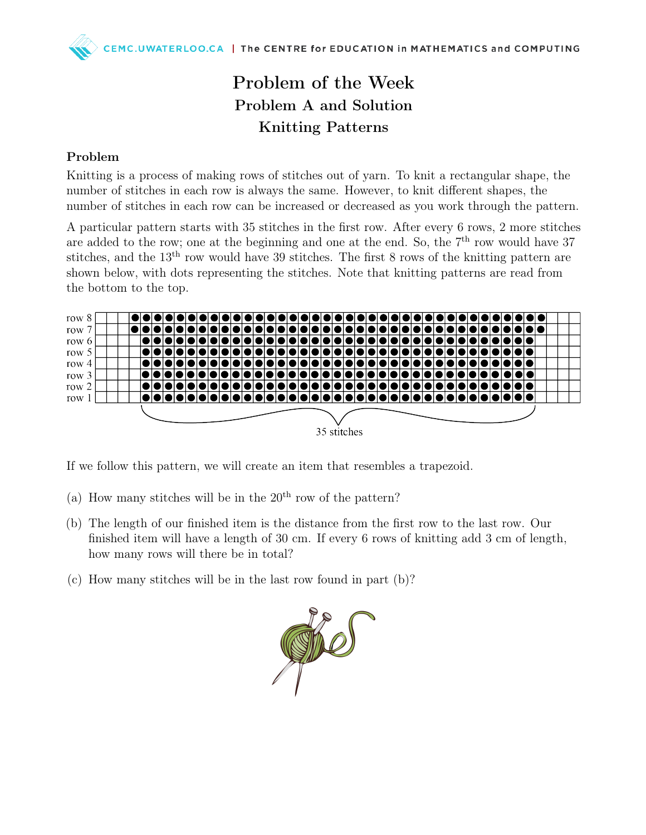## Problem of the Week Problem A and Solution Knitting Patterns

## Problem

Knitting is a process of making rows of stitches out of yarn. To knit a rectangular shape, the number of stitches in each row is always the same. However, to knit different shapes, the number of stitches in each row can be increased or decreased as you work through the pattern.

A particular pattern starts with 35 stitches in the first row. After every 6 rows, 2 more stitches are added to the row; one at the beginning and one at the end. So, the  $7<sup>th</sup>$  row would have 37 stitches, and the 13th row would have 39 stitches. The first 8 rows of the knitting pattern are shown below, with dots representing the stitches. Note that knitting patterns are read from the bottom to the top.



If we follow this pattern, we will create an item that resembles a trapezoid.

- (a) How many stitches will be in the  $20<sup>th</sup>$  row of the pattern?
- (b) The length of our finished item is the distance from the first row to the last row. Our finished item will have a length of 30 cm. If every 6 rows of knitting add 3 cm of length, how many rows will there be in total?
- (c) How many stitches will be in the last row found in part (b)?